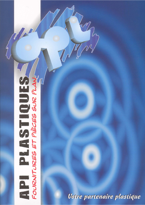

Votre partenaire plastique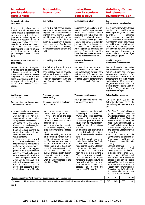| <b>Istruzioni</b>                                                                                                                                                                                                                                                                                                                                                                                                                                                                                                                                                                                                                                                                                                                                                                                                                                                           | <b>Butt welding</b>                                                                                                                                                                                                                                                                                                                                                                                                                                                                                                                                                                                                                                                                                                               | <b>Instructions</b>                                                                                                                                                                                                                                                                                                                                                                                                                                                                                                                                                                                                                                                                                                                                                                                                                     | Anleitung für das                                                                                                                                                                                                                                                                                                                                                                                                                                                                                                                                                                                                                                                                                                                                                                                                                                                                                                                                           |
|-----------------------------------------------------------------------------------------------------------------------------------------------------------------------------------------------------------------------------------------------------------------------------------------------------------------------------------------------------------------------------------------------------------------------------------------------------------------------------------------------------------------------------------------------------------------------------------------------------------------------------------------------------------------------------------------------------------------------------------------------------------------------------------------------------------------------------------------------------------------------------|-----------------------------------------------------------------------------------------------------------------------------------------------------------------------------------------------------------------------------------------------------------------------------------------------------------------------------------------------------------------------------------------------------------------------------------------------------------------------------------------------------------------------------------------------------------------------------------------------------------------------------------------------------------------------------------------------------------------------------------|-----------------------------------------------------------------------------------------------------------------------------------------------------------------------------------------------------------------------------------------------------------------------------------------------------------------------------------------------------------------------------------------------------------------------------------------------------------------------------------------------------------------------------------------------------------------------------------------------------------------------------------------------------------------------------------------------------------------------------------------------------------------------------------------------------------------------------------------|-------------------------------------------------------------------------------------------------------------------------------------------------------------------------------------------------------------------------------------------------------------------------------------------------------------------------------------------------------------------------------------------------------------------------------------------------------------------------------------------------------------------------------------------------------------------------------------------------------------------------------------------------------------------------------------------------------------------------------------------------------------------------------------------------------------------------------------------------------------------------------------------------------------------------------------------------------------|
| per la saldatura                                                                                                                                                                                                                                                                                                                                                                                                                                                                                                                                                                                                                                                                                                                                                                                                                                                            | instructions                                                                                                                                                                                                                                                                                                                                                                                                                                                                                                                                                                                                                                                                                                                      | pour la soudure                                                                                                                                                                                                                                                                                                                                                                                                                                                                                                                                                                                                                                                                                                                                                                                                                         | Heizelement-                                                                                                                                                                                                                                                                                                                                                                                                                                                                                                                                                                                                                                                                                                                                                                                                                                                                                                                                                |
| testa a testa                                                                                                                                                                                                                                                                                                                                                                                                                                                                                                                                                                                                                                                                                                                                                                                                                                                               |                                                                                                                                                                                                                                                                                                                                                                                                                                                                                                                                                                                                                                                                                                                                   | bout à bout                                                                                                                                                                                                                                                                                                                                                                                                                                                                                                                                                                                                                                                                                                                                                                                                                             | stumpfschweißen                                                                                                                                                                                                                                                                                                                                                                                                                                                                                                                                                                                                                                                                                                                                                                                                                                                                                                                                             |
| La saldatura termica<br>testa a testa                                                                                                                                                                                                                                                                                                                                                                                                                                                                                                                                                                                                                                                                                                                                                                                                                                       | Butt welding                                                                                                                                                                                                                                                                                                                                                                                                                                                                                                                                                                                                                                                                                                                      | La soudure bout à bout                                                                                                                                                                                                                                                                                                                                                                                                                                                                                                                                                                                                                                                                                                                                                                                                                  | Das<br>Heizelementstumpfschweißen                                                                                                                                                                                                                                                                                                                                                                                                                                                                                                                                                                                                                                                                                                                                                                                                                                                                                                                           |
| Il processo di saldatura, ad ele-<br>menti termici per contatto,<br>"testa a testa" è il procedimento<br>di giunzione di due elementi<br>(tubi e/o raccordi) di uguale dia-<br>metro e spessore in cui le<br>superfici da saldare sono riscal-<br>date fino a fusione per contatto<br>con un elemento termico e suc-<br>cessivamente, dopo l'allontana-<br>mento di questo, sono unite a<br>pressione per ottenere la salda-<br>tura.                                                                                                                                                                                                                                                                                                                                                                                                                                       | Butt welding with contact heating<br>elements is the process of joi-<br>ning two elements (pipes and/or<br>fittings) of the same diamater<br>and thickness, the joining surfa-<br>ces of which are heated until<br>fusion by contact with a heating<br>element and then, after the hea-<br>ting element has been removed,<br>are pressed together to form the<br>weld.                                                                                                                                                                                                                                                                                                                                                            | Le processus de soudure, à élé-<br>ments chauffants par contact,<br>"bout à bout" consiste à joindre<br>deux éléments (tubes et/ou rac-<br>cords) d'un même diamètre et<br>d'une même épaisseur après avoir<br>chauffé les surfaces à souder<br>jusqu'au point de fusion par con-<br>tact avec un élément chauffants.<br>Après la phase de chauffage, les<br>surfaces à souder doivent être<br>immédiatement mises en contact<br>sans les endomager ou les salir.                                                                                                                                                                                                                                                                                                                                                                       | Bei diesem Schweißverfahren<br>werden zu verbindenden<br>Schweißpartner (Rohre und/oder<br>Formteile)<br>gleichen<br>Durchmessers und gleicher<br>Wanddicke, deren Kontaktflächen<br>(Stirnflächen) durch das Anlegen<br>an ein Heizelement (Heizspiegel)<br>anplastifiziert wurden, nach<br>Beendigung der Anwärmphase<br>vom Heizelement getrennt und<br>dem<br>unter<br>notwendigen<br>Schweißdruck gefügt.                                                                                                                                                                                                                                                                                                                                                                                                                                                                                                                                              |
| Procedura di saldatura termica<br>testa a testa                                                                                                                                                                                                                                                                                                                                                                                                                                                                                                                                                                                                                                                                                                                                                                                                                             | Butt welding procedure                                                                                                                                                                                                                                                                                                                                                                                                                                                                                                                                                                                                                                                                                                            | Procédure de soudure<br>bout à bout                                                                                                                                                                                                                                                                                                                                                                                                                                                                                                                                                                                                                                                                                                                                                                                                     | Durchführung des<br>Heizelemtstumpfschweißens                                                                                                                                                                                                                                                                                                                                                                                                                                                                                                                                                                                                                                                                                                                                                                                                                                                                                                               |
| Le istruzioni qui di seguito<br>riportate sono da considerarsi<br>solamente come riferimento. Gli<br>installatori dovranno essere<br>adeguatamente istruiti e cono-<br>scere approfonditamente la cor-<br>retta procedura da seguire in<br>accordo alla saldatrice che si sta<br>usando.                                                                                                                                                                                                                                                                                                                                                                                                                                                                                                                                                                                    | The following instructions are<br>provided for reference purposes<br>only. Installers must be properly<br>trained and have an in-depth<br>knowledge of the procedures to<br>follow in accordance with the<br>type of welding equipment being<br>used.                                                                                                                                                                                                                                                                                                                                                                                                                                                                             | Les instructions ci-après ne sont<br>fournies qu'à titre de référence.<br>Les installateurs devront être<br>suffisamment informés et con-<br>naître à fond la procédure de<br>soudage à suivre conformément<br>à l'appareil à souder à utiliser.                                                                                                                                                                                                                                                                                                                                                                                                                                                                                                                                                                                        | Die nachfolgenden beschriebe-<br>nen Arbeitsschritte Anleitungen<br>sollen lediglich als Hinweise<br>angesehen werden.<br>Das<br>auszuführende Personal muß<br>entsprechend geschult werden<br>und muß über Kenntnisse der<br>eingesetzten Materialien und<br>Schweißgeräte, sowie über die<br>gültigen Vorschriften und<br>Regelwerke verfügen.                                                                                                                                                                                                                                                                                                                                                                                                                                                                                                                                                                                                            |
| Verifiche preliminari<br>alla saldatura                                                                                                                                                                                                                                                                                                                                                                                                                                                                                                                                                                                                                                                                                                                                                                                                                                     | Preliminary checks                                                                                                                                                                                                                                                                                                                                                                                                                                                                                                                                                                                                                                                                                                                | Vérifications préliminaires                                                                                                                                                                                                                                                                                                                                                                                                                                                                                                                                                                                                                                                                                                                                                                                                             | Schweißnahtvorbereitung                                                                                                                                                                                                                                                                                                                                                                                                                                                                                                                                                                                                                                                                                                                                                                                                                                                                                                                                     |
|                                                                                                                                                                                                                                                                                                                                                                                                                                                                                                                                                                                                                                                                                                                                                                                                                                                                             |                                                                                                                                                                                                                                                                                                                                                                                                                                                                                                                                                                                                                                                                                                                                   |                                                                                                                                                                                                                                                                                                                                                                                                                                                                                                                                                                                                                                                                                                                                                                                                                                         |                                                                                                                                                                                                                                                                                                                                                                                                                                                                                                                                                                                                                                                                                                                                                                                                                                                                                                                                                             |
| Per garantire una buona giun-<br>zione occorre ricordare:                                                                                                                                                                                                                                                                                                                                                                                                                                                                                                                                                                                                                                                                                                                                                                                                                   | before welding<br>To ensure the joint is made pro-<br>perly, note that:                                                                                                                                                                                                                                                                                                                                                                                                                                                                                                                                                                                                                                                           | Pour garantir une bonne jonc-<br>tion, se rappeler que :                                                                                                                                                                                                                                                                                                                                                                                                                                                                                                                                                                                                                                                                                                                                                                                | Für eine gute Qualität der<br>Schweißverbindung ist bei der<br>Durchführung auf folgendes zu ach-<br>ten:                                                                                                                                                                                                                                                                                                                                                                                                                                                                                                                                                                                                                                                                                                                                                                                                                                                   |
| - I valori della temperatura<br>ambiente devono essere com-<br>presi tra +5°C e +40°C. In<br>caso contrario si devono adot-<br>tare i provvedimenti occorrenti<br>per eseguire le lavorazioni<br>all'interno dei valori consigliati<br>usando opportuni ripari.<br>- Il controllo degli elementi da<br>saldare deve includere la loro<br>verifica dimensionale (eccessi-<br>va ovalizzazione).<br>- Verificare la temperatura di<br>lavoro del termoelemento con<br>un termometro a contatto tara-<br>to. Questa misura deve avveni-<br>re dopo 10 minuti del raggiun-<br>gimento della temperatura<br>nominale, permettendo così al<br>termoelemento di riscaldarsi<br>in modo omogeneo sulla inte-<br>ra sezione. La temperatura di<br>fusione dovrebbe essere com-<br>presa tra 190 e 210°C in<br>accordo allo spessore di pare-<br>te del tubo/raccordo (Tabella<br>1). | - Ambient temperatures must be<br>within the range +5°C to<br>+40°C. If this is not the case<br>take steps to execute the weld<br>within the recommended tem-<br>perature range.<br>- When inspecting the elements<br>to be welded together, check<br>also the dimensions (excess<br>ovality).<br>- Check the working temperature<br>of the heating element with a<br>calibrated contact thermome-<br>ter. This measurement must be<br>made 10 minutes after the<br>rated temperature has been<br>reached, thus allowing the ele-<br>ment to heat up over its entire<br>surface area and depth. Fusion<br>temperature must be between<br>190 and 210°C in accordance<br>with the wall thickness of the<br>pipe/fitting (Table 1). | - La température ambiante doit<br>être comprise entre +5°C et<br>+40°C. Dans le cas contraire,<br>adopter toutes les mesures<br>nécessaires pour effectuer le<br>travail selon les valeurs recom-<br>mandées à l'aide de protections<br>spéciales.<br>- Le contrôle des éléments à<br>souder doit inclure la vérifica-<br>tion dimensionnelle (ovalisa-<br>tion).<br>- Vérifier la température de servi-<br>ce de l'élément chauffant à l'ai-<br>de d'un thermomètre à contact<br>réglé correctement. Effectuer<br>cette mesure 10 minutes après<br>avoir atteint la température<br>nominale, pour permettre à<br>l'élément thermique de chauffer<br>toute la section de façon<br>homogène. La température de<br>fusion devrait être comprise<br>entre 190 et 210°C, selon l'é-<br>paisseur de la paroi du<br>tube/raccord (Tableau 1). | - Eine Schweißung darf nicht durch-<br>geführt werden, wenn die<br>Umgebungstemperatur unter +5°C<br>(und höchstens +40°C beträgt).<br>Weiterhin ist auszuschließen, das<br>äußere Witterungseinflüsse das<br>Schweißergebnis negativ beein-<br>flussen können. Gegebenenfalls<br>sind geeignete Schutzmaßnahmen<br>zu ergreifen.<br>Bei<br>der<br>Kontrolle<br>der<br>Schweißpartner sollten auch die<br>Abmessungen überprüft werden (z.<br>B. Aussendurchmesser, Wanddicke,<br>Ovalität).<br>- Schweißtemperatur<br>des<br>Heizelements (Heizspiegels) mit<br>einem geeichten Temperatur-<br>meßgerät kontrollieren. Diese<br>Messung muss 10 Minuten nach<br>dem erreichen der Solltemperatur<br>erfolgen, so dass sich das Heizgerät<br>gleichmäßig über den gesamten<br>Heizfläche erwärmen kann. Die<br>Heizelementtemperatur muß sich in<br>Abhängigkeit von der Wanddicke des<br>Rohres/Formteils zwischen 190°C<br>bis 210°C bewegen (Tabelle 1). |

*Tab. 1*

Temperatura di riscaldamento del termoelemento / Element heating time / Température de chauffage de l'élément chauffant/ Heizelementtemperatur (°C)

210

205

200

195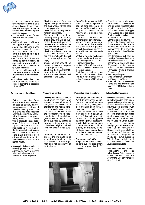

- Controllare la superficie del termoelemento (integrità dello strato antiaderente) ed assicurarsi della sua pulizia tramite l'uso di carta morbida o panni esenti da filacce.
- Controllare il corretto funzionamento della macchina saldatrice.
- Verificare lo stato di efficienza dei supporti a ganasce della saldatrice, affinchè possa essere assicurato il corretto allineamento dei pezzi da saldare e il parallelismo delle superfici a contatto.
- Verificare la forza di trascinamento del carrello mobile, sia come attrito proprio che in relazione al carico movimentato (tubi o raccordi).
- Verificare l'efficienza della strumentazione di misura (manometro e temporizzatore).
- Controllare che i tubi e/o i raccordi da saldare siano dello stesso diametro e spessore (stesso SDR).

## **Preparazione per la saldatura**

- Pulizia delle superfici: Prima di effettuare il posizionamento dei pezzi da saldare, è necessario rimuovere ogni traccia di sporcizia, unto, grasso, polvere o altro, sia dalla superficie esterna che interna delle estremità, impiegando un panno pulito, esente da filacce, imbevuto di adeguato liquido detergente. Sulla scelta del tipo di liquido detergente è raccomandabile far ricorso a prodotti consigliati direttamente dai produttori del settore: tricloro-etano, clorotene, alcool etilico, alcool isopropilico sono da considerarsi sostanze idonee all'uso.
- **Bloccaggio delle estremità:** Il bloccaggio degli elementi da saldare deve avvenire in modo tale che il disassamento non superi il 10% dello spessore.
- Check the surface of the heating element (Teflon coating) and clean with a lint-free cloth or soft paper wipe.
- Check that the welding unit is functioning correctly.
- Check the efficiency of the welding unit jaw clamps; ensure they are able to guarantee the correct alignment between the two sides of the joint and that the contact surfaces are perfectly parallel.
- Check the pulling force of the carriage, both in terms of friction and in relation to the load to be moved (pipes or fittings).
- Check the efficiency of the measuring instruments (pressure gauge and timer).
- Check that the pipes and/or fittings to be welded together are of the same diameter and thickness (same SDR).
- Contrôler la surface de l'élément chauffant (intégrité de la couche anti-adhérente) et s'assurer qu'il est parfaitement propre; si nécessaire, le nettoyer avec du papier non peluchant.
- Contrôler si la machine à souder fonctionne correctement.
- Vérifier l'efficacité des supports de la machine à souder afin d'assurer un alignement correct des pièces à souder et le parallélisme des surfaces de contact.
- Vérifier la force de traction du chariot mobile, au frottement et à la charge en mouvement (Tubes ou raccords).
- Vérifier l'efficacité des instruments de mesure (manomètre et temporisateur).
- Contrôler que les tubes et/ou les raccords à souder présentent le même diamètre et la même épaisseur (SDR identique).

### **Préparation pour la soudure**

- **Nettoyage des surfaces :** Avant de positionner les pièces à souder, éliminer toute trace de saleté, graisse, poussière ou autre de la surface extérieure et de la surface intérieure des extrémités à l'aide d'un papier non peluchant imprégné d'un détergent liquide. Pour le choix du type de détergent liquide, il est recommandé d'utiliser des produits comme conseillés trichloreéthane, chlorothène, alcool éthylique, alcool isopropylique sont des substances convenant très bien à cet usage.
- **Blocage des extrémités :** Bloquer les éléments à souder de sorte que leur désaxement ne dépasse pas 10% de l'épaisseur.
- Oberfläche des Heizelementes auf Beschädigungen kontrollieren und mit einem nichtfasernden, ungefärbten weichem Papier oder einem fusselfreien Lappen unter Zugabe eines geeigneten Reinigungsmittels säubern.
- Funktionskontrolle des Schweißgerätes durchführen.
- Kontrolle der Spannelemente des Schweißgerätes, so dass eine fluchtende Ausrichtung der zu schweißenden Teile sowie die Parallelität der Schweißflächen gewährleistet ist.
- Der Bewegungsdruck bzw. die benötigte Bewegungskraft ist zu ermitteln und muß zu der vorher bestimmten Fügekraft bzw. Fügedrucks addiert werden (wichtig beim Verschweißen von Rohren und Formteilen größeren Durchmessers).
- Funktionsprüfung der Messinstrumente (Manometer und Timer) durchführen.
- Prüfen, ob die zu schweißenden Rohre und/oder Formteile den gleichen SDR-Reihen entspre $chen$

## **Schweißnahtvorbereitung**

- **Oberflächenreinigung:** Bevor die zu schweißenden Teile eingespannt und ausgerichtet werden, müssen alle Schmutzspuren, Öl, Fett, Staub oder ähnliches sowohl von der Außen- als auch der Innenfläche im Schweißbereich mit Hilfe eines sauberen, einem nichtfasernden, ungefärbten weichem Papier oder eines fusselfreiem Lappen, unter Zugabe eines geeigneten Reinigungsmittels entfernt werden. Für die Auswahl der Reinigungsmittel, empfiehlt es sich direkt auf die von den<br>Herstellern empfohlenen empfohlenen Produkte zurückzugreifen: Trichloräthan, Äthylalkohol, Isopropylalkohol sind zu diesem Zweck geeignete Stoffe.
- **Rohre und/oder Formteile fest** einspannen: Die zu schweißenden Teile müssen so fixiert werden, dass der Achsversatz 10% der Wanddicke nicht übersteigt.



# **Preparing for welding**

- **Cleaning the surfaces:** Before positioning the parts to be welded, remove all traces of dirt, grease, oil, dust etc., from the external and internal surfaces of the ends, using a clean, lint-free cloth soaked in a suitable detergent. When choosing the type of liquid detergent, use recommended products supplied by specialist producers: trichloroethane, chlorothene, ethyl alcohol and isopropyl alcohol are all suitable.
- Clamping of the ends: The ends of the two parts to be welded must be clamped in such a way that axial misalignment does not exceed 10% of the thickness.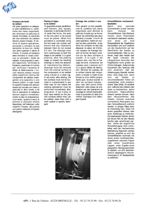

- **Fresatura dei lembi da saldare:** 

Per poter garantire un adeguato pian parallelismo e, condizione non meno importante, per eliminare la pellicola di ossido formatasi, le estremità dei due elementi da saldare devono essere fresate. Al termine di questa operazione, portando a contatto le due estremità, la luce tra i lembi non deve superare il valore di 0.5mm. Il truciolo di fresatura deve formarsi in modo continuo su entrambi i lembi da saldare. A tal proposito è sempre opportuno, terminata la fresatura, esaminare il truciolo per verificare l'assenza di difetti di fabbricazione. I trucioli devono essere rimossi dalla superficie interna dei componenti da saldare impiegando una spazzola o uno straccio pulito. In ogni modo le superfici fresate non devono essere più toccate con mano o sporcate in altro modo: a tal fine le operazioni di saldatura devono seguire immediatamente la fase di preparazione, ricorrendo, qualora tracce di polvere si possano essere depositate, nel frattempo, sulle superfici fresate, alla pulizia con panno imbevuto di liquido detergente.

- **Planing of edges to be welded:** 

To guarantee proper parallelism and flatness, and, equally important, to eliminate the film of oxide that forms, the ends of the two parts to be joined must be planet. When this procedure is concluded, bring the two ends into contact and ensure that any clearances between them do not exceed 0.5 mm. The shavings must form continuously on both the edges to be welded. It is good practice, after the planing stage, to inspect the resulting shavings to verify the absence of manufacturing defects. Shavings must be removed from the internal surface of the components to be welded using a brush or a clean rag. In any event, after planing, the two surfaces must not be touched or contaminated in any other way; for this reason the welding opereations must be performed immediately after prepration. If any traces of dust have settled on the planed surfaces before they can be welded, clean them with a cloth soaked in specific detergent.

- **Fraisage des surface à souder :** 

Pour garantir un bon parallélisme et, condition non moins importante, pour éliminer la pellicule d'oxyde qui se forme, fraiser les extrémités des deux éléments à souder. À la fin de cette opération, mettre en contact les deux extrémités : le jeu entre les surfaces ne doit pas dépasser la valeur de 0,5mm. Les copeaux de fraisage doivent se former de façon continue sur les deux surfaces à souder. À ce sujet, il est toujours bon, une fois le fraisage terminé, d'examiner les copeaux pour s'assurer qu'il n'y a aucun défaut de fabrication. Éliminer les copeaux de la surface interne des composants à souder à l'aide d'une brosse ou d'un chiffon propre. Après quoi, ne plus toucher ni salir les surfaces fraisées : pour cela, faire suivre immédiatement cette phase de préparation par des opérations de soudage en retirant éventuellement la poussière à l'aide d'un chiffon impregné d'un détergent liquide.



- **Schweißflächen mechanisch bearbeiten:** 

Damit eine optimale Schweißnaht erzielt werden kann, müssen die Schweißflächen (Stirnflächen) mittels eines Planhobels mechanisch bearbeitet werden, zum einen um eine Planparallelität der Fügeflächen herzustellen und zum anderen um die Oxydschicht auf der Oberfläche der beiden zu verschweißenden Teile zu entfernen. Nach dem Hobeln darf der Spalt (Versatz der Längsachse) zwischen den Fügeflächen nicht größer als 0,5mm betragen. Aufgrund des Aussehens des Spannes läßt sich erkennen, daß der Hobelvorgang beendet werden kann. Dies zeigt sich, wenn sich auf beiden zu verschweißenden Teilen ein umlaufender, nicht unterbrochener Span bildet. Es empfielt sich, während des Hobelns den Span zu beobachten, damit eventuelle Materialfehler erkannt werden können. Nach dem Herausnehmen des Hobels, müssen eventuell vorhandene Restspäne aus dem Schweißbereich entfernt werden. In einigen Fällen kann es notwendig sein, diese mit einem speziellen Messer oder einer Ziehklinge zu entfernen. Die bearbeiteten Flächen dürfen auf keinen Fall mit den Händen berührt oder verschmutzt werden.: Sollte der eigentliche Schweißvorgang nicht unmittelbar nach der mechanischen Bearbeitung begonnen werden können, empfielt es sich die Schweißfllächen nochmals mit einem einem nichtfasernden, ungefärbten weichem Papier oder eines fusselfreiem Lappen, unter Zugabe eines geeigneten Reinigungsmittels zu säubern, um sich zwischenzeitlich abgelagerte Verschmutzungen (z .B. Staubpartikel) zu entfernen.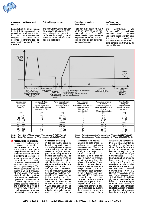

**Procedura di saldatura a caldo di testa**

La saldatura di giunti testa a testa di tubi e/o raccordi con procedimento ad elementi termici per contatto deve essere eseguita realizzando in modo corretto le differenti fasi del ciclo di saldatura qui di seguito riportate:

**Butt welding procedure**

The butt fusion welding between pipes and/or fittings using contact heating elements must be performed by carrying out all the steps in the welding cycle, as described below:

**Procédure de soudure "bout à bout"**

Réaliser la soudure "bout à bout" de tubes et/ou de raccords selon la procédure à éléments chauffants par contact en respectant les différentes phases du cycle de soudure indiquées ci-dessous :

### **Verfahren zum Stumpfschweißen**

Die Durchführung von Stumpfschweißungen von Rohren und/oder Anschlüssen mit Hilfe von Kontaktheizelementen muss korrekt unter Beachtung der verschiedenen Phasen des nachfolgend dargestellten Schweißzyklus durchgeführt werden:



*Tab. 2: Parametri di saldatura di testa per PP (in accordo a DVS 2207 Parte 11) Tab. 2: Butt welding parameters for PP (in compliance with DVS 2207 Part 11)*

2,5

**Accostamento e preriscaldamento:** in questa fase i lembi da saldare sono accostati al termoelemento ad una pressione pari a p1+pt, per il tempo necessario, al fine di creare un bordino uniforme sia interno che esterno. Il valore di pressione p1 deve essere tale per cui le superfici da saldare, a contatto con il termoelemento, siano soggette ad una pressione pari a 0.1 N/mm<sup>2</sup>: per ottenere tale condizione, il valori di pressione p1 deve essere ricavato dalle tabelle fornite dal costruttore della saldatrice, perchè esso dipende, a parità di diametro e spessore degli elementi da saldare, dalla sezione del cilindro di spinta del circuito di comando della saldatrice e, quindi, può variare a seconda del modello di attrezzatura

41 - 50

**Contact and preheating:**  in this step the two edges to be welded are located against the heating element at a pressure equal to p1+pt, for the necessary time, with the purpose of creating a uniform internal and external lip. The pressure value p1 must be such that, when in contact with the heating element, the elements to be welded are subjected to a pressure of 0.1  $N/mm^2$ ; to achieve this condition, p1 pressure values must be taken from the tables supplied by manufacturer of the fusion jointing machine, because, apart from the diameter and thickness of the elements to be welded, these values also depend on the cross section of the thrust cylinder in the welder circuit and can therefore alter in

490 - 550

*Tab. 2: Paramètres de soudure "bout à bout" pour PP (selon DVS 2207 Partie 11) Tab. 2: Schweißparameter für Stumpfschweißung für PP (gemäß DVS 2207 Teil 11)*

35 - 45

**Assemblage et pré-chauffage :** au cours de cette phase, les surfaces à souder sont mises en contact avec l'élément à une pression correspondant à p1+pt, et ce, le temps nécessaire à créer un bord uniforme aussi bien à l'intérieur qu'à l'extérieur. La pression p1 doit avoir une valeur grâce à laquelle les surfaces à souder, en contact avec l'élément chauffant, seront sujettes à une pression de 0,1  $\text{\r{N/mm^2}}$  : pour obtenir cette condition, la valeur de pression p1 doit être calculée à partir des tableaux fournies par le constructeur de la machine à souder parce qu'elle dépend, à égalité de diamètre et d'épaisseur des éléments à souder, de la section du cylindre de poussée du circuit de commande de la machine à

16

**Angleichen und Vorwärmen:**  In dieser Phase werden die zu schweißenden Teile mit einem Schweißdruck von p1+pt, so lange an das Heizelement angedrückt, bis außen ein gleichmäßiger<br>Schweißwulst Schweißwulst. Schweißdruck p1 muss so hoch sein, dass die zu s c h w e i ß e n d e n Kontaktflächen, die mit dem Heizelement in Berührung kommen, einem spezifischen<br>Schweißdruck von 0,1 Schweißdruck N/mm2 entsprechen. Der an der Schweißmaschine einzustellende Druck p1 ist abhängig vom zu verschweißenden Material und der entsprechenden SDR-Reihe und muß gemäß den jeweiligen Herstellerangaben eingestellt werden. Der mit pt angegebene Druck entspricht dem

60 - 70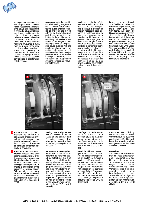

impiegata. Con il simbolo pt si indica la pressione di trascinamento necessaria a vincere gli attriti dovuti alla saldatrice ed al peso della tubazione bloccata sulla guida mobile che ostacolano il libero movimento della guida stessa. Tale valore è misurato drittamente sul manometro in dotazione alla macchina, muovendo la guida mobile. In ogni modo esso non deve risultare superiore al valore della pressione p1: in questo caso è necessario ricorrere all'impiego di carrelli mobili o sospensori oscillanti per facilitare lo spostamento della tubazione.

accordance with the specific model of welding unit you are using. The symbol pt indicates the pulling pressure required to overcome the friction offered by the welding unit and the weight of the pipe locked in the mobile guide, combining to impede the free movement of the guide. This reading is taken on the pressure gauge supplied with the machine, while moving the mobile guide. In any event, it must never be higher than the pressure value p1, otherwise it may prove necessary to use carriages or suspension systems to facilitate movement of the pipe.

souder ce qui signifie qu'elle peut varier selon le modèle d'accessoire utilisé. Le symbole pt indique la pression de traction nécessaire pour éliminer le frottement dû à la soudeuse et au poids de la canalisation bloquée sur le guide mobile et qui gêne le déplacement du guide. Cette valeur est mesurée directement sur le manomètre fourni avec la machine, en déplaçant le guide mobile. De toute façon, elle ne doit pas être supérieure à la valeur de la pression p1 : dans ce cas, il est nécessaire d'utiliser des chariots mobiles ou des étriers oscillants pour faciliter le déplacement de la canalisation.

Bewegungsdruck, der je nach zu schweißenden Teil en und dessen Eigengewichten, die freie Bewegung des Schlittens, auf dem die Spannvorrichtungen montiert sind, behindert (Reibung). Dieser Wert wird direkt auf dem an der Maschine befestigten Manometer abgelesen, indem der bewegliche Schlitten bewegt wird. Dieser Wert darf den Druck p1 keinesfalls übersteigen: und ggf. müssen Hilfsvorrichtungen verwendet werden, welche die Bewegung der Rohrleitung erleichtern.



- **Riscaldamento:** Dopo la formazione del bordino, si **2** abbassa la pressione (10% del valore di accostamento e preriscaldamento) permettendo in tal modo al materiale di scaldarsi uniformemente anche in profondità.
- **Rimozione del Termoele-3** mento: Questa fase deve essere eseguita nel più breve tempo possibile, allontanando i lembi da saldare dal termoelemento, estraendo senza danneggiare le superfici rammollite, e riaccostando immediatamente i lembi da saldare. Tale operazione deve essere rapida per evitare un eccessivo raffreddamento dei lembi (la temperatura superficiale si raffredda in 3 secondi di  $17^{\circ}$ C).

**Heating:** After the lip has formed the pressure is lowered (10% of the contact and Preheating value) thus allowing the material to heat up uniformly through its entire depth.

**Removing the Heating ele**ment: This phase must be performed as rapidly as possible, detaching the pipe edges to be welded from the heating element, extracting the element without damaging the softened surfaces and then immediately bringing the two edges to be welded into contact with each other. This procedure must be performed quickly to avoid the risk of excessive cooling of the edges (surface temperature falls by 17°C in just 3 seconds).



**Chauffage** : Après la formation du bourrelet, réduire la pression (10% de la valeur d'assemblage et de préchauffage) de sorte que le matériau chauffe de façon uniforme même en profondeur

**Retrait de l'élément thermi**que: Cette phase doit avoir lieu le plus rapidement possible, en écartant les surfaces à souder de l'élément chauffant en retirant les surfaces ramollies sans rien endommager et en rapprochant immédiatement les surfaces à souder. Cette opération doit être effectuée rapidement pour éviter de trop refroidir les surfaces (la température de surface baisse de 17°C en 3 secondes).

**Anwärmen:** Nach Bildung des Wulstes, wird der Druck verringert (auf ca. 10% vom Angleichdruck),. Dadurch kann das Material optimal durchgewärmt werden, ohne Schaden zu nehmen.

#### **Umstellzeit:**

Als Umstellzeit bezeichnet man die Phase, die zwischen dem Herausnehmen des Heizspiegels aus dem Schweißbereich und dem beiden Schweißpartner liegt. Dieser Vorgang sollte möglichst<br>schnell und ohne schnell<sup>®</sup> Beschädigung Schweißflächen erfolgen, da die Temperatur im plastifizierten Bereich innerhalb von drei Sekunden um 17°C abkühlt.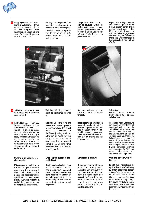

**Raggiungimento della pres-4 sione di saldatura:** I lembi vanno posti a contatto, incrementando progressivamente la pressione al valore (p5+pt), dove p5=p1 e pt è la pressione di trascinamento.

Jointing build-up period: The two edges are brought into contact and the relative pressure is increased progressively to the value (p5+pt), where p5=p1 and pt is the pulling pressure.

**Temps nécessaire à la pression de soudure:** Mettre les surfaces côte à côte en augmentant progressivement la pression jusqu'à la valeur (p5+pt), où p5=p1 et pt est la pression de traction.

**Fügen:** Beim Fügen werden die beiden plastifizierten Schweißenden unter Druck zusammengedrückt. Der Fügedruck ergibt sich aus dem vom Hersteller angegebenen Schweißdruck, der schrittweise erhöht wird, und dem ermittelten Bewegungsdruck (p5 + pt mit p5=p1)



**Saldatura:** Occorre mantene-**5** re la pressione di saldatura per il tempo t5.

6 Raffreddamento: Terminata la fase di saldatura, la pressione di contatto viene annullata ed il giunto può essere rimosso dalla saldatrice, ma non deve essere, in ogni caso, sollecitata meccanicamente fino al suo completo raffreddamento. Il tempo di raffreddamento deve essere almeno uguale al tempo di saldatura, t5.

**Controllo qualitativo del giunto saldato**

Esistono due metodi di valutazione della qualità: controlli non distruttivi e controlli distruttivi. Questi ultimi richiedono apparecchiature specifiche. E' comunque possibile visivamente verificare la qualità del giunto senza l'ausilio di particolari strumenti.

**Welding:** Welding pressure must be maintained for time  $15$ 

**Cooling:** Once the joint has been welded, contact pressure is removed and the joined parts can be removed from the fusion jointing machine, although it must not be subjected to mechanical stress until it has cooled completely. Cooling time must be at least the same as welding time t5.

**Checking the quality of the welded joint**

Joints can be checked using two alternative techniques: non-destructive tests and destructive tests. While these latter tests call for the use of special equipment, the quality of the joint can also be checked with a simple visual in spection.



**Soudure:** Maintenir la pression de soudure pour un temps t5.

**Refroidissement:** Une fois la phase de soudure terminée, annuler la pression de contact et làisser refroidir l'ensemble, sans le manipuler. Le temps de refroidissement doit être au moins égal au temps de soudage t5.

## **Contrôle de la soudure**

Il existent deux méthodes pour contrôler la qualité : contrôles non destructifs et contrôles destructifs. Ces derniers nécessitent des appareils spéciaux. Il est toutefois possible de vérifier visuellement la qualité du joint sans l'aide d'instruments particuliers.

**Schweißen:** 

Der Fügedruck muss über die Schweißzeit (t5) konstant gehalten werden.

**Abkühlen:** Nach Beendigung des Fügens, wird der Fügedruck gegen null gefahren und die Schweißverbindung muß abkühlen. Je nach Wanddicke und Art des Bauteils, kann ein Teil der Abkühlphase außerhalb der Schweißmaschine durchgeführt werden. Zu jedem Zeitpunkt der Abkühlphase, sind mechanische Belastungen, welche auf das Bauteil einwirken könnten, auszuschließen. Die Abkühlzeit muss mindestens der Schweißzeit (t5) entsprechen.

**Qualität der Schweißverbindung** 

Es gibt zwei Prüfmethoden die Qualität einer Schweißverbindung zu prüfen: zerstörende und zerstörungsfreie. Die erst genannte Prüfmethode erfordert spezielle Geräte und hat eine Zerstörung der Schweißverbindung zur Folge. Die Qualität der Schweißverbindung kann jedoch auch ohne besondere Instrumente kontrolliert werden.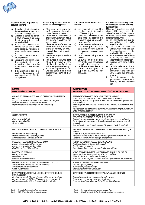

**L'esame visivo riguarda le seguenti verifiche:**

- a) Il cordolo di saldatura deve risultare uniforme su tutta la circonferenza del giunto;
- b) L'intaglio al centro del cordolo deve rimanere al di sopra del diametro esterno degli elementi saldati;
- c) Sulla superficie esterna del cordolo non devono evidenziarsi porosità, inclusioni di polvere o altre contaminazion i ;
- d) Non devono evidenziarsi rotture superficiali;
- e) La superficie del cordolo non deve manifestare lucentezza eccessiva, che potrebbe essere indice di surriscaldamento:
- f) Il disassamento degli elementi saldati non deve risultare superiore al 10% del loro spessore.

**Visual inspections should assess the following points:**

- a) The weld bead must be uniform around the entire circumference of the joint;
- b) The notch in the centre of the bead must remain above the outside diameter of the welded parts;
- c) The external surface of the bead must not show any signs of porosity or inclusions of dust or other contaminants;
- d) No visible signs of surface break-up;
- e) The surface of the weld bead should not have a very highly reflective finish, as this is a sign of overheating;
- f) Axial misalignment of the welded parts must be no greater than 10% of their thickness.

**L'examen visuel consiste à** vérifier:

- a) Les bourrelets doivent être reguliers sur toute la circonférence du joint;
- b) L'entaille au milieu des bords doit être au-dessus du diamètre extérieur des éléments soudés;
- c) La surface extérieure du bord ne doit pas être poreuse et ne présenter aucune contamination (poussière ou autre)
- d) La surface ne doit pas être fendue:
- e) La surface du bord ne doit pas être brillante (la brillance est indice de surchauffe);
- f) Le désaxement des éléments soudés ne doit pas être supérieur à 10% de leur épaisseur.

**Die einfachste zerstörungsfreie Prüfmethode ist die visuelle Prüfung (Sichtkontrolle).** 

Mit dieser Prüfmethode, die jedoch einige Erfahrung mit der Schweißtechnik und dem Material erfordert, lassen sich folgende Kontrollen durchführen:

- a) Der Schweißwulst muß über den ganzen Umfang gleichmäßig ausgebildet sein;
- b) Die Kerbe zwischen die Schweißwülste muss über dem Außendurchmesser der geschweißten Elemente liegen;
- c) Im Schweißwulst dürfen keine Hohlräume, Staub oder andere Verschmutzungen sichtbar sein;
- d) Es dürfen keine Riefen sichtbar sein<sup>.</sup>
- e) Die Wulstoberfläche darf nicht zu glänzend erscheinen, dieses könnte ein Hinweis auf eine Verbrennung des Materials hinweisen;
- f ) Der Achsversatz der geschweißten Teile darf nicht höher als 10% ihrer Wanddicke sein.

| <b>DIFETTO</b>                                                                                                                                                                                                                                                                   | <b>CAUSE PROBABILI</b>                                                                                                                                                                                                                                                                                                                                                                                                         |
|----------------------------------------------------------------------------------------------------------------------------------------------------------------------------------------------------------------------------------------------------------------------------------|--------------------------------------------------------------------------------------------------------------------------------------------------------------------------------------------------------------------------------------------------------------------------------------------------------------------------------------------------------------------------------------------------------------------------------|
| <b>DEFECT / DÉFAUT / FEHLER</b>                                                                                                                                                                                                                                                  | PROBABLE CAUSE / CAUSES PROBABLES / MÖGLICHE URSACHEN                                                                                                                                                                                                                                                                                                                                                                          |
| ANDAMENTO IRREGOLARE DEL CORDOLO LUNGO LA CIRCONFERENZA<br><b>DELTUBO</b><br>Irregular path of weld bead around the circumference of the pipe<br>Bourrelets irregulier sur la circonferènce du tube<br>Ungleichmäßige Wulstausbildung über den Rohrumfang                        | PREPARAZIONE POCO ACCURATA DELLE TESTE DA SALDARE<br>CON CONSEGUENTE DISTRIBUZIONE DISUNIFORME DEL CALORE<br>Insufficiently meticulous preparation of ends to be welded with consequent uneven<br>heat distribution<br>Mauvaise préparation des bouts à souder entraînant une mauvaise distribution de la<br>chaleur<br>Kein abhobeln der Stirnflächen durchgeführt, ungleichmäßige Wärmezufuhr,<br>ungleichmäßiger Fügedruck. |
| CORDOLO RIDOTTO<br>Reduced size weld bead<br>Bords du bourrelet réduits<br>Zu kleiner Wulst                                                                                                                                                                                      | CATTIVA REGOLAZIONE DEI PARAMETRI DI SALDATURA<br>(TEMPERATURA, PRESSIONE, TEMPO DI SALDATURA)<br>Incorrect adjustment of welding parameters (temperature, pressure and time)<br>Réglage incorrect des paramètres de soudage (température, pression, temps de<br>soudage)<br>Falsche Einstellung der Schweißparameter (Temperatur, Druck, Schweißzeit)                                                                         |
| INTAGLIO AL CENTRO DEL CORDOLO ECCESSIVAMENTE PROFONDO                                                                                                                                                                                                                           | VALORI DI TEMPERATURA O PRESSIONE DI SALDATURA INFERIORE A QUELLI                                                                                                                                                                                                                                                                                                                                                              |
| Notch in centre of bead is too deep                                                                                                                                                                                                                                              | <b>PREVISTI</b>                                                                                                                                                                                                                                                                                                                                                                                                                |
| Entaille au milieu du bourrelet trop profonde                                                                                                                                                                                                                                    | Temperature or pressure values are too low                                                                                                                                                                                                                                                                                                                                                                                     |
| Kerbe zwischen die Schweißwülste zu tief                                                                                                                                                                                                                                         | Valeurs de température ou de pression de soudage inférieures à celles prévues<br>Temperatur- oder Druckwerte niedriger als empfohlen                                                                                                                                                                                                                                                                                           |
| INCLUSIONI NELLA SUPERFICIE DEL CORDOLO                                                                                                                                                                                                                                          | PULIZIA NON ADEGUATA DELLE TESTE DA SALDARE                                                                                                                                                                                                                                                                                                                                                                                    |
| Inclusions in the surface of the weld bead                                                                                                                                                                                                                                       | Insufficient cleaning of the ends to be welded                                                                                                                                                                                                                                                                                                                                                                                 |
| Inclusions sur la surface des bourrelets                                                                                                                                                                                                                                         | Bout à souder mal nettoyés                                                                                                                                                                                                                                                                                                                                                                                                     |
| Einschlüsse auf der Wulstoberfläche                                                                                                                                                                                                                                              | Ungenügende Reinigung der zu schweißenden Kontaktflächen                                                                                                                                                                                                                                                                                                                                                                       |
| POROSITÀ DEL CORDOLO                                                                                                                                                                                                                                                             | AMBIENTE ECCESSIVAMENTE UMIDO DURANTE LA FASE DI SALDATURA                                                                                                                                                                                                                                                                                                                                                                     |
| Porosity of weld bead                                                                                                                                                                                                                                                            | Welding performed in excessively humid ambient conditions                                                                                                                                                                                                                                                                                                                                                                      |
| Bourrelets poreux                                                                                                                                                                                                                                                                | Milieu trop humide durant la phase de soudage                                                                                                                                                                                                                                                                                                                                                                                  |
| Rauhe Wulstoberfläche der Naht                                                                                                                                                                                                                                                   | Zu hohe hoher Feuchtegehalt im Material Raumfeuchtigkeit während des Schweißens                                                                                                                                                                                                                                                                                                                                                |
| LUCENTEZZA ECCESSIVA DELLA SUPERFICIE DEL CORDOLO                                                                                                                                                                                                                                | SURRISCALDAMENTO IN FASE DI SALDATURA                                                                                                                                                                                                                                                                                                                                                                                          |
| Surface of weld bead presents a smooth shiny finish                                                                                                                                                                                                                              | Overheating during welding                                                                                                                                                                                                                                                                                                                                                                                                     |
| Surface des bourrelets trop brillante                                                                                                                                                                                                                                            | Surchauffe en phase de soudage                                                                                                                                                                                                                                                                                                                                                                                                 |
| Glänze Wulstoberfläche                                                                                                                                                                                                                                                           | Überhitzung während des Schweißens                                                                                                                                                                                                                                                                                                                                                                                             |
| DISASSAMENTO SUPERIORE AL 10% DELLO SPESSORE DEL TUBO<br>E DEL RACCORDO<br>Misalignment exceeds 10% of the thickness of the pipe and the fitting<br>Désaxement supérieur à 10% de l'épaisseur du tube et du raccord<br>Achsversatz mehr als 10% der Rohr- und/oder Formteildicke | CENTRAGGIO MAL ESEGUITO O ECCESSIVA OVALIZZAZIONE DEI TUBI<br>Incorrectly executed centring or excessive ovality of pipe<br>Centrage incorrect ou ovalisation excessive des tubes<br>Schlechte Ausrichtung oder zu große Ovalität der Schweißpartner                                                                                                                                                                           |
| Principali difetti riscontrabili con esame visivo                                                                                                                                                                                                                                | Tab. 3:                                                                                                                                                                                                                                                                                                                                                                                                                        |
| Tab. 3:                                                                                                                                                                                                                                                                          | Principaux défauts apparaissant à l'examen visuel                                                                                                                                                                                                                                                                                                                                                                              |
| Main defects discernible on visible inspection                                                                                                                                                                                                                                   | Hauptfehler, die durch eine visuelle Prüfung erkannt werden können                                                                                                                                                                                                                                                                                                                                                             |
| Tab. $3:$                                                                                                                                                                                                                                                                        | Tab. 3:                                                                                                                                                                                                                                                                                                                                                                                                                        |

**API :** 1 Rue de Valnois - 02220 BRENELLE - Tél. : 03.23.74.35.90 - Fax : 03.23.74.09.26